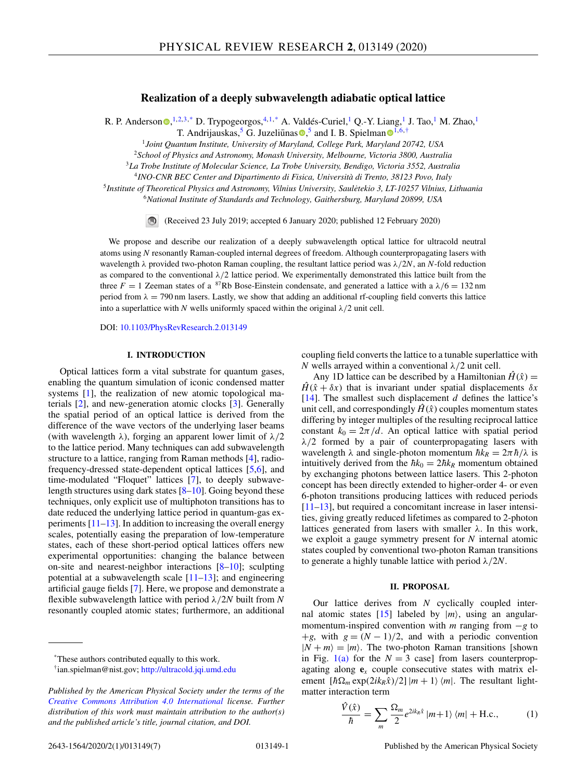# **Realization of a deeply subwavelength adiabatic optical lattice**

<span id="page-0-0"></span>R. P. A[n](https://orcid.org/0000-0002-4495-7926)derson  $\bullet$ , <sup>1,2,3,\*</sup> D. Trypogeorgos, <sup>4,1,\*</sup> A. Valdés-Curiel, <sup>1</sup> Q.-Y. Liang, <sup>1</sup> J. Tao, <sup>1</sup> M. Zhao, <sup>1</sup>

T. Andrijau[s](https://orcid.org/0000-0002-0677-6446)kas,<sup>5</sup> G. Juzeliūnas **.**<sup>5</sup> and I. B. Spielman **[1](https://orcid.org/0000-0003-1421-8652).6**, †

<sup>1</sup>*Joint Quantum Institute, University of Maryland, College Park, Maryland 20742, USA*

<sup>2</sup>*School of Physics and Astronomy, Monash University, Melbourne, Victoria 3800, Australia*

<sup>3</sup>*La Trobe Institute of Molecular Science, La Trobe University, Bendigo, Victoria 3552, Australia*

<sup>4</sup>*INO-CNR BEC Center and Dipartimento di Fisica, Università di Trento, 38123 Povo, Italy*

<sup>5</sup> Institute of Theoretical Physics and Astronomy, Vilnius University, Saulėtekio 3, LT-10257 Vilnius, Lithuania <sup>6</sup>*National Institute of Standards and Technology, Gaithersburg, Maryland 20899, USA*

(Received 23 July 2019; accepted 6 January 2020; published 12 February 2020)

We propose and describe our realization of a deeply subwavelength optical lattice for ultracold neutral atoms using *N* resonantly Raman-coupled internal degrees of freedom. Although counterpropagating lasers with wavelength λ provided two-photon Raman coupling, the resultant lattice period was λ/2*N*, an *N*-fold reduction as compared to the conventional  $\lambda/2$  lattice period. We experimentally demonstrated this lattice built from the three  $F = 1$  Zeeman states of a <sup>87</sup>Rb Bose-Einstein condensate, and generated a lattice with a  $\lambda/6 = 132$  nm period from  $\lambda = 790$  nm lasers. Lastly, we show that adding an additional rf-coupling field converts this lattice into a superlattice with *N* wells uniformly spaced within the original  $\lambda/2$  unit cell.

DOI: [10.1103/PhysRevResearch.2.013149](https://doi.org/10.1103/PhysRevResearch.2.013149)

## **I. INTRODUCTION**

Optical lattices form a vital substrate for quantum gases, enabling the quantum simulation of iconic condensed matter systems [\[1\]](#page-5-0), the realization of new atomic topological materials [\[2\]](#page-5-0), and new-generation atomic clocks [\[3\]](#page-5-0). Generally the spatial period of an optical lattice is derived from the difference of the wave vectors of the underlying laser beams (with wavelength  $\lambda$ ), forging an apparent lower limit of  $\lambda/2$ to the lattice period. Many techniques can add subwavelength structure to a lattice, ranging from Raman methods [\[4\]](#page-5-0), radiofrequency-dressed state-dependent optical lattices [\[5,6\]](#page-5-0), and time-modulated "Floquet" lattices [\[7\]](#page-5-0), to deeply subwavelength structures using dark states [\[8–10\]](#page-5-0). Going beyond these techniques, only explicit use of multiphoton transitions has to date reduced the underlying lattice period in quantum-gas experiments  $[11-13]$  $[11-13]$ . In addition to increasing the overall energy scales, potentially easing the preparation of low-temperature states, each of these short-period optical lattices offers new experimental opportunities: changing the balance between on-site and nearest-neighbor interactions [\[8–10\]](#page-5-0); sculpting potential at a subwavelength scale  $[11–13]$  $[11–13]$ ; and engineering artificial gauge fields [\[7\]](#page-5-0). Here, we propose and demonstrate a flexible subwavelength lattice with period λ/2*N* built from *N* resonantly coupled atomic states; furthermore, an additional coupling field converts the lattice to a tunable superlattice with *N* wells arrayed within a conventional  $\lambda/2$  unit cell.

Any 1D lattice can be described by a Hamiltonian  $\hat{H}(\hat{x}) =$  $H(\hat{x} + \delta x)$  that is invariant under spatial displacements  $\delta x$ [\[14\]](#page-6-0). The smallest such displacement *d* defines the lattice's unit cell, and correspondingly  $\hat{H}(\hat{x})$  couples momentum states differing by integer multiples of the resulting reciprocal lattice constant  $k_0 = 2\pi/d$ . An optical lattice with spatial period  $\lambda/2$  formed by a pair of counterpropagating lasers with wavelength  $\lambda$  and single-photon momentum  $\hbar k_R = 2\pi \hbar/\lambda$  is intuitively derived from the  $\hbar k_0 = 2\hbar k_R$  momentum obtained by exchanging photons between lattice lasers. This 2-photon concept has been directly extended to higher-order 4- or even 6-photon transitions producing lattices with reduced periods [\[11](#page-5-0)[–13\]](#page-6-0), but required a concomitant increase in laser intensities, giving greatly reduced lifetimes as compared to 2-photon lattices generated from lasers with smaller  $\lambda$ . In this work, we exploit a gauge symmetry present for *N* internal atomic states coupled by conventional two-photon Raman transitions to generate a highly tunable lattice with period λ/2*N*.

## **II. PROPOSAL**

Our lattice derives from *N* cyclically coupled inter-nal atomic states [\[15\]](#page-6-0) labeled by  $|m\rangle$ , using an angularmomentum-inspired convention with *m* ranging from −*g* to +*g*, with  $g = (N - 1)/2$ , and with a periodic convention  $|N + m\rangle = |m\rangle$ . The two-photon Raman transitions [shown in Fig. [1\(a\)](#page-1-0) for the  $N = 3$  case] from lasers counterpropagating along **e***<sup>x</sup>* couple consecutive states with matrix element  $[\hbar\Omega_m \exp(2ik_R\hat{x})/2] |m+1\rangle \langle m|$ . The resultant lightmatter interaction term

$$
\frac{\hat{V}(\hat{x})}{\hbar} = \sum_{m} \frac{\Omega_m}{2} e^{2ik_R \hat{x}} |m+1\rangle \langle m| + \text{H.c.},\tag{1}
$$

<sup>\*</sup>These authors contributed equally to this work.

<sup>†</sup>ian.spielman@nist.gov; <http://ultracold.jqi.umd.edu>

*Published by the American Physical Society under the terms of the [Creative Commons Attribution 4.0 International](https://creativecommons.org/licenses/by/4.0/) license. Further distribution of this work must maintain attribution to the author(s) and the published article's title, journal citation, and DOI.*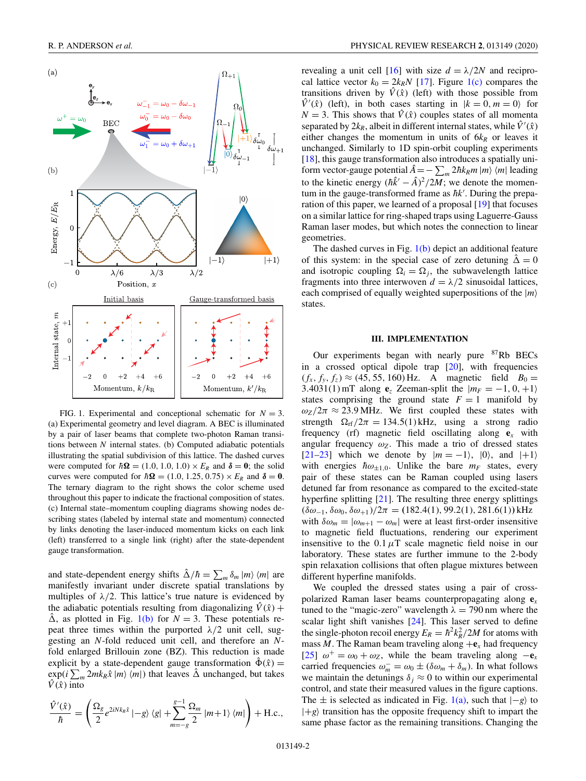<span id="page-1-0"></span>

FIG. 1. Experimental and conceptional schematic for  $N = 3$ . (a) Experimental geometry and level diagram. A BEC is illuminated by a pair of laser beams that complete two-photon Raman transitions between *N* internal states. (b) Computed adiabatic potentials illustrating the spatial subdivision of this lattice. The dashed curves were computed for  $\hbar \Omega = (1.0, 1.0, 1.0) \times E_R$  and  $\delta = 0$ ; the solid curves were computed for  $\hbar \Omega = (1.0, 1.25, 0.75) \times E_R$  and  $\delta = 0$ . The ternary diagram to the right shows the color scheme used throughout this paper to indicate the fractional composition of states. (c) Internal state–momentum coupling diagrams showing nodes describing states (labeled by internal state and momentum) connected by links denoting the laser-induced momentum kicks on each link (left) transferred to a single link (right) after the state-dependent gauge transformation.

and state-dependent energy shifts  $\hat{\Delta}/\hbar = \sum_{m} \delta_m |m\rangle \langle m|$  are manifestly invariant under discrete spatial translations by multiples of  $\lambda/2$ . This lattice's true nature is evidenced by the adiabatic potentials resulting from diagonalizing  $\hat{V}(\hat{x}) +$  $\Delta$ , as plotted in Fig. 1(b) for  $N = 3$ . These potentials repeat three times within the purported  $\lambda/2$  unit cell, suggesting an *N*-fold reduced unit cell, and therefore an *N*fold enlarged Brillouin zone (BZ). This reduction is made explicit by a state-dependent gauge transformation  $\Phi(\hat{x}) =$  $\exp(i\sum_{m}2mk_{R}\hat{x} |m\rangle\langle m|)$  that leaves  $\hat{\Delta}$  unchanged, but takes  $\hat{V}(\hat{x})$  into

$$
\frac{\hat{V}'(\hat{x})}{\hbar} = \left(\frac{\Omega_g}{2}e^{2iNk_R\hat{x}}\,|-g\rangle\,\langle g| + \sum_{m=-g}^{g-1} \frac{\Omega_m}{2}\,|m+1\rangle\,\langle m|\right) + \text{H.c.},
$$

revealing a unit cell [\[16\]](#page-6-0) with size  $d = \lambda/2N$  and reciprocal lattice vector  $k_0 = 2k_R N$  [\[17\]](#page-6-0). Figure 1(c) compares the transitions driven by  $\hat{V}(\hat{x})$  (left) with those possible from  $\hat{V}'(\hat{x})$  (left), in both cases starting in  $|k = 0, m = 0\rangle$  for  $N = 3$ . This shows that  $\hat{V}(\hat{x})$  couples states of all momenta separated by  $2k_R$ , albeit in different internal states, while  $\hat{V}'(\hat{x})$ either changes the momentum in units of  $6k_R$  or leaves it unchanged. Similarly to 1D spin-orbit coupling experiments [\[18\]](#page-6-0), this gauge transformation also introduces a spatially uniform vector-gauge potential  $\hat{A} = -\sum_{m} 2\hbar k_{R}m |m\rangle \langle m|$  leading to the kinetic energy  $(\hbar \hat{k}' - \hat{A})^2 / 2M$ ; we denote the momentum in the gauge-transformed frame as  $\hbar k'$ . During the preparation of this paper, we learned of a proposal [\[19\]](#page-6-0) that focuses on a similar lattice for ring-shaped traps using Laguerre-Gauss Raman laser modes, but which notes the connection to linear geometries.

The dashed curves in Fig.  $1(b)$  depict an additional feature of this system: in the special case of zero detuning  $\hat{\Delta} = 0$ and isotropic coupling  $\Omega_i = \Omega_j$ , the subwavelength lattice fragments into three interwoven  $d = \lambda/2$  sinusoidal lattices, each comprised of equally weighted superpositions of the |*m* states.

## **III. IMPLEMENTATION**

Our experiments began with nearly pure <sup>87</sup>Rb BECs in a crossed optical dipole trap  $[20]$ , with frequencies  $(f_x, f_y, f_z) \approx (45, 55, 160)$  Hz. A magnetic field  $B_0 =$ 3.4031(1) mT along  $\mathbf{e}_z$  Zeeman-split the  $|m_F = -1, 0, +1\rangle$ states comprising the ground state  $F = 1$  manifold by  $\omega_Z/2\pi \approx 23.9 \text{ MHz}$ . We first coupled these states with strength  $\Omega_{\text{rf}}/2\pi = 134.5(1) \text{ kHz}$ , using a strong radio frequency (rf) magnetic field oscillating along  $e_x$  with angular frequency  $\omega_Z$ . This made a trio of dressed states [\[21–23\]](#page-6-0) which we denote by  $|m = -1\rangle$ ,  $|0\rangle$ , and  $|+1\rangle$ with energies  $\hbar \omega_{\pm 1,0}$ . Unlike the bare  $m_F$  states, every pair of these states can be Raman coupled using lasers detuned far from resonance as compared to the excited-state hyperfine splitting [\[21\]](#page-6-0). The resulting three energy splittings  $(\delta\omega_{-1}, \delta\omega_0, \delta\omega_{+1})/2\pi = (182.4(1), 99.2(1), 281.6(1))$  kHz with  $\delta \omega_m = |\omega_{m+1} - \omega_m|$  were at least first-order insensitive to magnetic field fluctuations, rendering our experiment insensitive to the  $0.1 \mu T$  scale magnetic field noise in our laboratory. These states are further immune to the 2-body spin relaxation collisions that often plague mixtures between different hyperfine manifolds.

We coupled the dressed states using a pair of crosspolarized Raman laser beams counterpropagating along **e***<sup>x</sup>* tuned to the "magic-zero" wavelength  $\lambda = 790$  nm where the scalar light shift vanishes [\[24\]](#page-6-0). This laser served to define the single-photon recoil energy  $E_R = \hbar^2 k_R^2 / 2M$  for atoms with mass *M*. The Raman beam traveling along  $+{\bf e}_x$  had frequency [\[25\]](#page-6-0)  $\omega^+ = \omega_0 + \omega_z$ , while the beam traveling along  $-\mathbf{e}_x$ carried frequencies  $\omega_m^- = \omega_0 \pm (\delta \omega_m + \delta_m)$ . In what follows we maintain the detunings  $\delta_i \approx 0$  to within our experimental control, and state their measured values in the figure captions. The  $\pm$  is selected as indicated in Fig. 1(a), such that  $|-g\rangle$  to  $|+g\rangle$  transition has the opposite frequency shift to impart the same phase factor as the remaining transitions. Changing the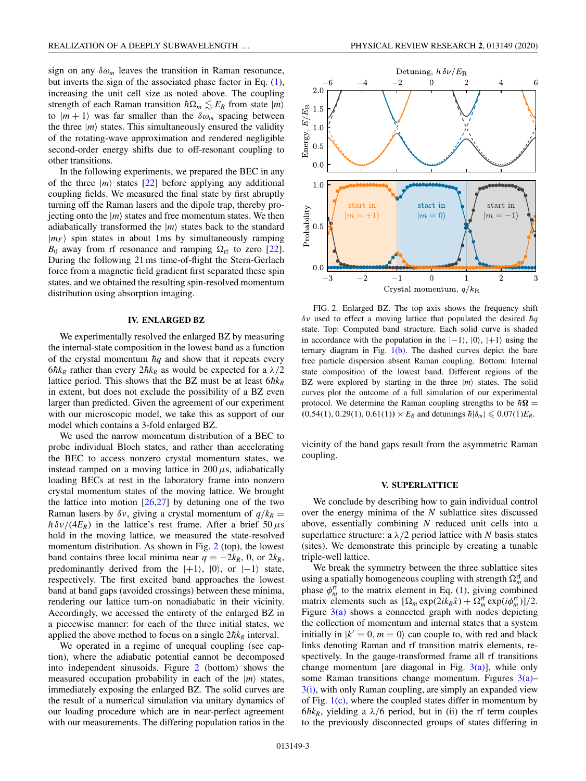sign on any  $\delta \omega_m$  leaves the transition in Raman resonance, but inverts the sign of the associated phase factor in Eq. [\(1\)](#page-0-0), increasing the unit cell size as noted above. The coupling strength of each Raman transition  $\hbar \Omega_m \lesssim E_R$  from state  $|m\rangle$ to  $|m+1\rangle$  was far smaller than the  $\delta\omega_m$  spacing between the three  $|m\rangle$  states. This simultaneously ensured the validity of the rotating-wave approximation and rendered negligible second-order energy shifts due to off-resonant coupling to other transitions.

In the following experiments, we prepared the BEC in any of the three  $|m\rangle$  states [\[22\]](#page-6-0) before applying any additional coupling fields. We measured the final state by first abruptly turning off the Raman lasers and the dipole trap, thereby projecting onto the  $|m\rangle$  states and free momentum states. We then adiabatically transformed the  $|m\rangle$  states back to the standard  $|m_F\rangle$  spin states in about 1ms by simultaneously ramping  $B_0$  away from rf resonance and ramping  $\Omega_{\rm rf}$  to zero [\[22\]](#page-6-0). During the following 21 ms time-of-flight the Stern-Gerlach force from a magnetic field gradient first separated these spin states, and we obtained the resulting spin-resolved momentum distribution using absorption imaging.

## **IV. ENLARGED BZ**

We experimentally resolved the enlarged BZ by measuring the internal-state composition in the lowest band as a function of the crystal momentum  $\hbar q$  and show that it repeats every  $6\hbar k_R$  rather than every  $2\hbar k_R$  as would be expected for a  $\lambda/2$ lattice period. This shows that the BZ must be at least  $6\hbar k_R$ in extent, but does not exclude the possibility of a BZ even larger than predicted. Given the agreement of our experiment with our microscopic model, we take this as support of our model which contains a 3-fold enlarged BZ.

We used the narrow momentum distribution of a BEC to probe individual Bloch states, and rather than accelerating the BEC to access nonzero crystal momentum states, we instead ramped on a moving lattice in  $200 \mu s$ , adiabatically loading BECs at rest in the laboratory frame into nonzero crystal momentum states of the moving lattice. We brought the lattice into motion  $[26,27]$  by detuning one of the two Raman lasers by  $\delta v$ , giving a crystal momentum of  $q/k_R$  =  $h \delta v/(4E_R)$  in the lattice's rest frame. After a brief 50  $\mu$ s hold in the moving lattice, we measured the state-resolved momentum distribution. As shown in Fig. 2 (top), the lowest band contains three local minima near  $q = -2k_R$ , 0, or  $2k_R$ , predominantly derived from the  $|+1\rangle$ ,  $|0\rangle$ , or  $|-1\rangle$  state, respectively. The first excited band approaches the lowest band at band gaps (avoided crossings) between these minima, rendering our lattice turn-on nonadiabatic in their vicinity. Accordingly, we accessed the entirety of the enlarged BZ in a piecewise manner: for each of the three initial states, we applied the above method to focus on a single  $2\hbar k_R$  interval.

We operated in a regime of unequal coupling (see caption), where the adiabatic potential cannot be decomposed into independent sinusoids. Figure 2 (bottom) shows the measured occupation probability in each of the  $|m\rangle$  states, immediately exposing the enlarged BZ. The solid curves are the result of a numerical simulation via unitary dynamics of our loading procedure which are in near-perfect agreement with our measurements. The differing population ratios in the



FIG. 2. Enlarged BZ. The top axis shows the frequency shift  $\delta v$  used to effect a moving lattice that populated the desired  $\hbar q$ state. Top: Computed band structure. Each solid curve is shaded in accordance with the population in the  $|-1\rangle$ ,  $|0\rangle$ ,  $|+1\rangle$  using the ternary diagram in Fig.  $1(b)$ . The dashed curves depict the bare free particle dispersion absent Raman coupling. Bottom: Internal state composition of the lowest band. Different regions of the BZ were explored by starting in the three  $|m\rangle$  states. The solid curves plot the outcome of a full simulation of our experimental protocol. We determine the Raman coupling strengths to be  $\hbar \Omega$  =  $(0.54(1), 0.29(1), 0.61(1)) \times E_R$  and detunings  $\hbar |\delta_m| \leq 0.07(1)E_R$ .

vicinity of the band gaps result from the asymmetric Raman coupling.

### **V. SUPERLATTICE**

We conclude by describing how to gain individual control over the energy minima of the *N* sublattice sites discussed above, essentially combining *N* reduced unit cells into a superlattice structure: a  $\lambda/2$  period lattice with *N* basis states (sites). We demonstrate this principle by creating a tunable triple-well lattice.

We break the symmetry between the three sublattice sites using a spatially homogeneous coupling with strength  $\Omega_m^{\text{rf}}$  and phase  $\phi_m^{\text{rf}}$  to the matrix element in Eq. [\(1\)](#page-0-0), giving combined matrix elements such as  $\left[\Omega_m \exp(2ik_R\hat{x}) + \Omega_m^{\text{rf}} \exp(i\phi_m^{\text{rf}})\right]/2$ . Figure  $3(a)$  shows a connected graph with nodes depicting the collection of momentum and internal states that a system initially in  $|k' = 0, m = 0\rangle$  can couple to, with red and black links denoting Raman and rf transition matrix elements, respectively. In the gauge-transformed frame all rf transitions change momentum [are diagonal in Fig.  $3(a)$ ], while only some Raman transitions change momentum. Figures  $3(a)$ –  $3(i)$ , with only Raman coupling, are simply an expanded view of Fig.  $1(c)$ , where the coupled states differ in momentum by  $6\hbar k_R$ , yielding a  $\lambda/6$  period, but in (ii) the rf term couples to the previously disconnected groups of states differing in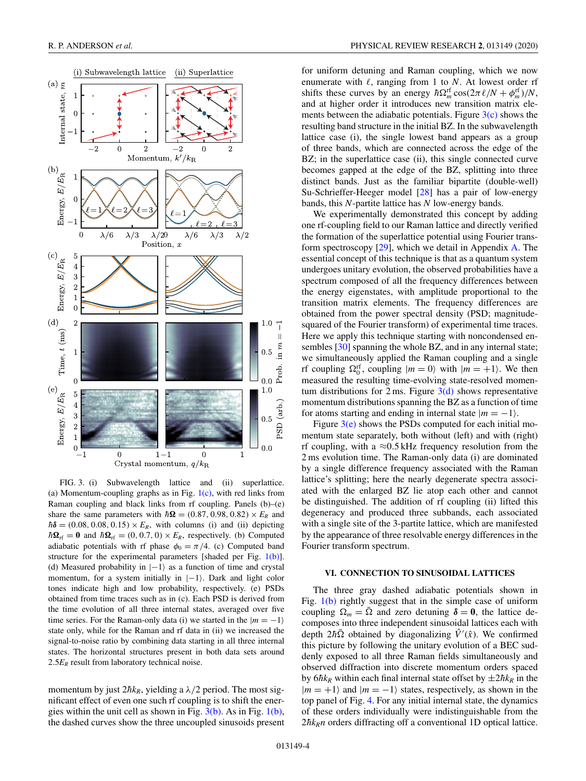<span id="page-3-0"></span>

FIG. 3. (i) Subwavelength lattice and (ii) superlattice. (a) Momentum-coupling graphs as in Fig.  $1(c)$ , with red links from Raman coupling and black links from rf coupling. Panels (b)–(e) share the same parameters with  $\hbar \Omega = (0.87, 0.98, 0.82) \times E_R$  and  $\hbar\delta$  = (0.08, 0.08, 0.15) ×  $E_R$ , with columns (i) and (ii) depicting  $\hbar\Omega_{\text{rf}} = 0$  and  $\hbar\Omega_{\text{rf}} = (0, 0.7, 0) \times E_R$ , respectively. (b) Computed adiabatic potentials with rf phase  $\phi_0 = \pi/4$ . (c) Computed band structure for the experimental parameters [shaded per Fig.  $1(b)$ ]. (d) Measured probability in  $|-1\rangle$  as a function of time and crystal momentum, for a system initially in  $|-1\rangle$ . Dark and light color tones indicate high and low probability, respectively. (e) PSDs obtained from time traces such as in (c). Each PSD is derived from the time evolution of all three internal states, averaged over five time series. For the Raman-only data (i) we started in the  $|m = -1\rangle$ state only, while for the Raman and rf data in (ii) we increased the signal-to-noise ratio by combining data starting in all three internal states. The horizontal structures present in both data sets around 2.5 $E_R$  result from laboratory technical noise.

momentum by just  $2\hbar k_R$ , yielding a  $\lambda/2$  period. The most significant effect of even one such rf coupling is to shift the energies within the unit cell as shown in Fig. 3(b). As in Fig. [1\(b\),](#page-1-0) the dashed curves show the three uncoupled sinusoids present for uniform detuning and Raman coupling, which we now enumerate with  $\ell$ , ranging from 1 to *N*. At lowest order rf shifts these curves by an energy  $\hbar \Omega_m^{\text{rf}} \cos(2\pi \ell / N + \phi_m^{\text{rf}}) / N$ , and at higher order it introduces new transition matrix elements between the adiabatic potentials. Figure  $3(c)$  shows the resulting band structure in the initial BZ. In the subwavelength lattice case (i), the single lowest band appears as a group of three bands, which are connected across the edge of the BZ; in the superlattice case (ii), this single connected curve becomes gapped at the edge of the BZ, splitting into three distinct bands. Just as the familiar bipartite (double-well) Su-Schrieffer-Heeger model [\[28\]](#page-6-0) has a pair of low-energy bands, this *N*-partite lattice has *N* low-energy bands.

We experimentally demonstrated this concept by adding one rf-coupling field to our Raman lattice and directly verified the formation of the superlattice potential using Fourier transform spectroscopy [\[29\]](#page-6-0), which we detail in Appendix [A.](#page-5-0) The essential concept of this technique is that as a quantum system undergoes unitary evolution, the observed probabilities have a spectrum composed of all the frequency differences between the energy eigenstates, with amplitude proportional to the transition matrix elements. The frequency differences are obtained from the power spectral density (PSD; magnitudesquared of the Fourier transform) of experimental time traces. Here we apply this technique starting with noncondensed en-sembles [\[30\]](#page-6-0) spanning the whole BZ, and in any internal state; we simultaneously applied the Raman coupling and a single rf coupling  $\Omega_0^{\text{rf}}$ , coupling  $|m = 0\rangle$  with  $|m = +1\rangle$ . We then measured the resulting time-evolving state-resolved momentum distributions for 2 ms. Figure  $3(d)$  shows representative momentum distributions spanning the BZ as a function of time for atoms starting and ending in internal state  $|m = -1\rangle$ .

Figure  $3(e)$  shows the PSDs computed for each initial momentum state separately, both without (left) and with (right) rf coupling, with a  $\approx 0.5$  kHz frequency resolution from the 2 ms evolution time. The Raman-only data (i) are dominated by a single difference frequency associated with the Raman lattice's splitting; here the nearly degenerate spectra associated with the enlarged BZ lie atop each other and cannot be distinguished. The addition of rf coupling (ii) lifted this degeneracy and produced three subbands, each associated with a single site of the 3-partite lattice, which are manifested by the appearance of three resolvable energy differences in the Fourier transform spectrum.

# **VI. CONNECTION TO SINUSOIDAL LATTICES**

The three gray dashed adiabatic potentials shown in Fig. [1\(b\)](#page-1-0) rightly suggest that in the simple case of uniform coupling  $\Omega_m = \overline{\Omega}$  and zero detuning  $\delta = 0$ , the lattice decomposes into three independent sinusoidal lattices each with depth  $2\hbar\bar{\Omega}$  obtained by diagonalizing  $\hat{V}'(\hat{x})$ . We confirmed this picture by following the unitary evolution of a BEC suddenly exposed to all three Raman fields simultaneously and observed diffraction into discrete momentum orders spaced by  $6\hbar k_R$  within each final internal state offset by  $\pm 2\hbar k_R$  in the  $|m = +1\rangle$  and  $|m = -1\rangle$  states, respectively, as shown in the top panel of Fig. [4.](#page-4-0) For any initial internal state, the dynamics of these orders individually were indistinguishable from the  $2\hbar k_R n$  orders diffracting off a conventional 1D optical lattice.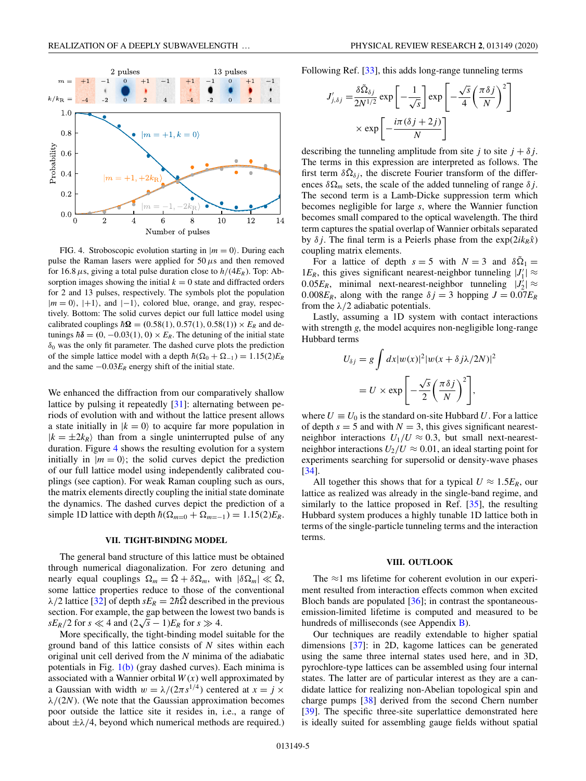<span id="page-4-0"></span>

FIG. 4. Stroboscopic evolution starting in  $|m = 0\rangle$ . During each pulse the Raman lasers were applied for  $50 \mu s$  and then removed for 16.8  $\mu$ s, giving a total pulse duration close to  $h/(4E_R)$ . Top: Absorption images showing the initial  $k = 0$  state and diffracted orders for 2 and 13 pulses, respectively. The symbols plot the population  $|m = 0\rangle$ ,  $|+1\rangle$ , and  $|-1\rangle$ , colored blue, orange, and gray, respectively. Bottom: The solid curves depict our full lattice model using calibrated couplings  $\hbar \Omega = (0.58(1), 0.57(1), 0.58(1)) \times E_R$  and detunings  $\hbar\delta = (0, -0.03(1), 0) \times E_R$ . The detuning of the initial state  $\delta_0$  was the only fit parameter. The dashed curve plots the prediction of the simple lattice model with a depth  $\hbar(\Omega_0 + \Omega_{-1}) = 1.15(2)E_R$ and the same  $-0.03E_R$  energy shift of the initial state.

We enhanced the diffraction from our comparatively shallow lattice by pulsing it repeatedly [\[31\]](#page-6-0): alternating between periods of evolution with and without the lattice present allows a state initially in  $|k = 0\rangle$  to acquire far more population in  $|k = \pm 2k_R\rangle$  than from a single uninterrupted pulse of any duration. Figure 4 shows the resulting evolution for a system initially in  $|m = 0\rangle$ ; the solid curves depict the prediction of our full lattice model using independently calibrated couplings (see caption). For weak Raman coupling such as ours, the matrix elements directly coupling the initial state dominate the dynamics. The dashed curves depict the prediction of a simple 1D lattice with depth  $\hbar(\Omega_{m=0} + \Omega_{m=-1}) = 1.15(2)E_R$ .

### **VII. TIGHT-BINDING MODEL**

The general band structure of this lattice must be obtained through numerical diagonalization. For zero detuning and nearly equal couplings  $\Omega_m = \overline{\Omega} + \delta \Omega_m$ , with  $|\delta \Omega_m| \ll \overline{\Omega}$ , some lattice properties reduce to those of the conventional  $\lambda/2$  lattice [\[32\]](#page-6-0) of depth  $sE_R = 2\hbar\Omega$  described in the previous section. For example, the gap between the lowest two bands is *sE<sub>R</sub>*/2 for *s*  $\ll$  4 and  $(2\sqrt{s} - 1)E_R$  for *s*  $\gg$  4.

More specifically, the tight-binding model suitable for the ground band of this lattice consists of *N* sites within each original unit cell derived from the *N* minima of the adiabatic potentials in Fig. [1\(b\)](#page-1-0) (gray dashed curves). Each minima is associated with a Wannier orbital  $W(x)$  well approximated by a Gaussian with width  $w = \lambda/(2\pi s^{1/4})$  centered at  $x = j \times j$  $\lambda/(2N)$ . (We note that the Gaussian approximation becomes poor outside the lattice site it resides in, i.e., a range of about  $\pm \lambda/4$ , beyond which numerical methods are required.) Following Ref. [\[33\]](#page-6-0), this adds long-range tunneling terms

$$
J'_{j,\delta j} = \frac{\delta \tilde{\Omega}_{\delta j}}{2N^{1/2}} \exp\left[-\frac{1}{\sqrt{s}}\right] \exp\left[-\frac{\sqrt{s}}{4}\left(\frac{\pi \delta j}{N}\right)^2\right]
$$

$$
\times \exp\left[-\frac{i\pi(\delta j + 2j)}{N}\right]
$$

describing the tunneling amplitude from site *j* to site  $j + \delta j$ . The terms in this expression are interpreted as follows. The first term  $\delta\tilde{\Omega}_{\delta i}$ , the discrete Fourier transform of the differences  $\delta\Omega_m$  sets, the scale of the added tunneling of range  $\delta j$ . The second term is a Lamb-Dicke suppression term which becomes negligible for large *s*, where the Wannier function becomes small compared to the optical wavelength. The third term captures the spatial overlap of Wannier orbitals separated by  $\delta j$ . The final term is a Peierls phase from the  $\exp(2ik_R\hat{x})$ coupling matrix elements.

For a lattice of depth  $s = 5$  with  $N = 3$  and  $\delta\Omega_1 =$ 1 $E_R$ , this gives significant nearest-neighbor tunneling  $|J_1'| \approx$  $0.05E_R$ , minimal next-nearest-neighbor tunneling  $|J_2| \approx$ 0.008 $E_R$ , along with the range  $\delta j = 3$  hopping  $J = 0.07E_R$ from the  $\lambda/2$  adiabatic potentials.

Lastly, assuming a 1D system with contact interactions with strength *g*, the model acquires non-negligible long-range Hubbard terms

$$
U_{\delta j} = g \int dx |w(x)|^2 |w(x + \delta j \lambda / 2N)|^2
$$
  
=  $U \times \exp \left[ -\frac{\sqrt{s}}{2} \left( \frac{\pi \delta j}{N} \right)^2 \right],$ 

where  $U \equiv U_0$  is the standard on-site Hubbard *U*. For a lattice of depth  $s = 5$  and with  $N = 3$ , this gives significant nearestneighbor interactions  $U_1/U \approx 0.3$ , but small next-nearestneighbor interactions  $U_2/U \approx 0.01$ , an ideal starting point for experiments searching for supersolid or density-wave phases [\[34\]](#page-6-0).

All together this shows that for a typical  $U \approx 1.5E_R$ , our lattice as realized was already in the single-band regime, and similarly to the lattice proposed in Ref. [\[35\]](#page-6-0), the resulting Hubbard system produces a highly tunable 1D lattice both in terms of the single-particle tunneling terms and the interaction terms.

#### **VIII. OUTLOOK**

The  $\approx$ 1 ms lifetime for coherent evolution in our experiment resulted from interaction effects common when excited Bloch bands are populated  $[36]$ ; in contrast the spontaneousemission-limited lifetime is computed and measured to be hundreds of milliseconds (see Appendix [B\)](#page-5-0).

Our techniques are readily extendable to higher spatial dimensions [\[37\]](#page-6-0): in 2D, kagome lattices can be generated using the same three internal states used here, and in 3D, pyrochlore-type lattices can be assembled using four internal states. The latter are of particular interest as they are a candidate lattice for realizing non-Abelian topological spin and charge pumps [\[38\]](#page-6-0) derived from the second Chern number [\[39\]](#page-6-0). The specific three-site superlattice demonstrated here is ideally suited for assembling gauge fields without spatial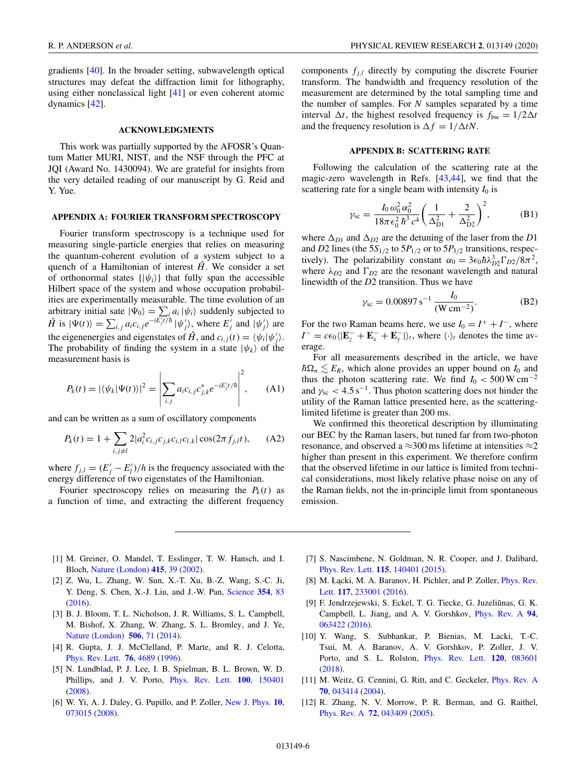<span id="page-5-0"></span>gradients [\[40\]](#page-6-0). In the broader setting, subwavelength optical structures may defeat the diffraction limit for lithography, using either nonclassical light [\[41\]](#page-6-0) or even coherent atomic dynamics [\[42\]](#page-6-0).

## **ACKNOWLEDGMENTS**

This work was partially supported by the AFOSR's Quantum Matter MURI, NIST, and the NSF through the PFC at JQI (Award No. 1430094). We are grateful for insights from the very detailed reading of our manuscript by G. Reid and Y. Yue.

# **APPENDIX A: FOURIER TRANSFORM SPECTROSCOPY**

Fourier transform spectroscopy is a technique used for measuring single-particle energies that relies on measuring the quantum-coherent evolution of a system subject to a quench of a Hamiltonian of interest  $\hat{H}$ . We consider a set of orthonormal states  $\{|\psi_i\rangle\}$  that fully span the accessible Hilbert space of the system and whose occupation probabilities are experimentally measurable. The time evolution of an arbitrary initial sate  $|\Psi_0\rangle = \sum_i a_i |\psi_i\rangle$  suddenly subjected to  $\hat{H}$  is  $|\Psi(t)\rangle = \sum_{i,j} a_i c_{i,j} e^{-i\vec{E_j t}/\hbar} |\psi'_j\rangle$ , where  $E'_j$  and  $|\psi'_j\rangle$  are the eigenenergies and eigenstates of  $\hat{H}$ , and  $c_{i,j}(t) = \langle \psi_i | \psi'_j \rangle$ . The probability of finding the system in a state  $|\psi_k\rangle$  of the measurement basis is

$$
P_k(t) = |\langle \psi_k | \Psi(t) \rangle|^2 = \left| \sum_{i,j} a_i c_{i,j} c_{j,k}^* e^{-iE'_j t/\hbar} \right|^2, \quad (A1)
$$

and can be written as a sum of oscillatory components

$$
P_k(t) = 1 + \sum_{i,j \neq l} 2|a_i^2 c_{i,j} c_{j,k} c_{i,l} c_{l,k}| \cos(2\pi f_{j,l} t), \quad (A2)
$$

where  $f_{j,l} = (E'_j - E'_l)/h$  is the frequency associated with the energy difference of two eigenstates of the Hamiltonian.

Fourier spectroscopy relies on measuring the  $P_k(t)$  as a function of time, and extracting the different frequency

components  $f_{j,l}$  directly by computing the discrete Fourier transform. The bandwidth and frequency resolution of the measurement are determined by the total sampling time and the number of samples. For *N* samples separated by a time interval  $\Delta t$ , the highest resolved frequency is  $f_{bw} = 1/2\Delta t$ and the frequency resolution is  $\Delta f = 1/\Delta t N$ .

### **APPENDIX B: SCATTERING RATE**

Following the calculation of the scattering rate at the magic-zero wavelength in Refs. [\[43,44\]](#page-6-0), we find that the scattering rate for a single beam with intensity  $I_0$  is

$$
\gamma_{\rm sc} = \frac{I_0 \,\omega_0^2 \,\alpha_0^2}{18\pi \,\epsilon_0^2 \,\hbar^3 \,c^4} \bigg(\frac{1}{\Delta_{\rm D1}^2} + \frac{2}{\Delta_{\rm D2}^2}\bigg)^2, \tag{B1}
$$

where  $\Delta_{D1}$  and  $\Delta_{D2}$  are the detuning of the laser from the *D*1 and *D*2 lines (the  $5S_{1/2}$  to  $5P_{1/2}$  or to  $5P_{3/2}$  transitions, respectively). The polarizability constant  $\alpha_0 = 3\epsilon_0 \hbar \lambda_{D2}^3 \Gamma_{D2}/8\pi^2$ , where  $\lambda_{D2}$  and  $\Gamma_{D2}$  are the resonant wavelength and natural linewidth of the *D*2 transition. Thus we have

$$
\gamma_{\rm sc} = 0.00897 \,\mathrm{s}^{-1} \,\frac{I_0}{(\mathrm{W}\,\mathrm{cm}^{-2})}.\tag{B2}
$$

For the two Raman beams here, we use  $I_0 = I^+ + I^-$ , where  $I^{-} = c\epsilon_0 \langle |\mathbf{E}_z^{-} + \mathbf{E}_x^{-} + \mathbf{E}_y^{-}|\rangle_t$ , where  $\langle \cdot \rangle_t$  denotes the time average.

For all measurements described in the article, we have  $\hbar\Omega_n \lesssim E_R$ , which alone provides an upper bound on *I*<sub>0</sub> and thus the photon scattering rate. We find  $I_0 < 500 \,\mathrm{W \, cm^{-2}}$ and  $\gamma_{\rm sc}$  < 4.5 s<sup>-1</sup>. Thus photon scattering does not hinder the utility of the Raman lattice presented here, as the scatteringlimited lifetime is greater than 200 ms.

We confirmed this theoretical description by illuminating our BEC by the Raman lasers, but tuned far from two-photon resonance, and observed a  $\approx$ 300 ms lifetime at intensities  $\approx$ 2 higher than present in this experiment. We therefore confirm that the observed lifetime in our lattice is limited from technical considerations, most likely relative phase noise on any of the Raman fields, not the in-principle limit from spontaneous emission.

- [1] M. Greiner, O. Mandel, T. Esslinger, T. W. Hansch, and I. Bloch, [Nature \(London\)](https://doi.org/10.1038/415039a) **[415](https://doi.org/10.1038/415039a)**, [39](https://doi.org/10.1038/415039a) [\(2002\)](https://doi.org/10.1038/415039a).
- [2] Z. Wu, L. Zhang, W. Sun, X.-T. Xu, B.-Z. Wang, S.-C. Ji, Y. Deng, S. Chen, X.-J. Liu, and J.-W. Pan, [Science](https://doi.org/10.1126/science.aaf6689) **[354](https://doi.org/10.1126/science.aaf6689)**, [83](https://doi.org/10.1126/science.aaf6689) [\(2016\)](https://doi.org/10.1126/science.aaf6689).
- [3] B. J. Bloom, T. L. Nicholson, J. R. Williams, S. L. Campbell, M. Bishof, X. Zhang, W. Zhang, S. L. Bromley, and J. Ye, [Nature \(London\)](https://doi.org/10.1038/nature12941) **[506](https://doi.org/10.1038/nature12941)**, [71](https://doi.org/10.1038/nature12941) [\(2014\)](https://doi.org/10.1038/nature12941).
- [4] R. Gupta, J. J. McClelland, P. Marte, and R. J. Celotta, [Phys. Rev. Lett.](https://doi.org/10.1103/PhysRevLett.76.4689) **[76](https://doi.org/10.1103/PhysRevLett.76.4689)**, [4689](https://doi.org/10.1103/PhysRevLett.76.4689) [\(1996\)](https://doi.org/10.1103/PhysRevLett.76.4689).
- [5] N. Lundblad, P. J. Lee, I. B. Spielman, B. L. Brown, W. D. Phillips, and J. V. Porto, [Phys. Rev. Lett.](https://doi.org/10.1103/PhysRevLett.100.150401) **[100](https://doi.org/10.1103/PhysRevLett.100.150401)**, [150401](https://doi.org/10.1103/PhysRevLett.100.150401) [\(2008\)](https://doi.org/10.1103/PhysRevLett.100.150401).
- [6] W. Yi, A. J. Daley, G. Pupillo, and P. Zoller, [New J. Phys.](https://doi.org/10.1088/1367-2630/10/7/073015) **[10](https://doi.org/10.1088/1367-2630/10/7/073015)**, [073015](https://doi.org/10.1088/1367-2630/10/7/073015) [\(2008\)](https://doi.org/10.1088/1367-2630/10/7/073015).
- [7] S. Nascimbene, N. Goldman, N. R. Cooper, and J. Dalibard, [Phys. Rev. Lett.](https://doi.org/10.1103/PhysRevLett.115.140401) **[115](https://doi.org/10.1103/PhysRevLett.115.140401)**, [140401](https://doi.org/10.1103/PhysRevLett.115.140401) [\(2015\)](https://doi.org/10.1103/PhysRevLett.115.140401).
- [8] M. Łącki, M. A. Baranov, H. Pichler, and P. Zoller, *Phys. Rev.* Lett. **[117](https://doi.org/10.1103/PhysRevLett.117.233001)**, [233001](https://doi.org/10.1103/PhysRevLett.117.233001) [\(2016\)](https://doi.org/10.1103/PhysRevLett.117.233001).
- [9] F. Jendrzejewski, S. Eckel, T. G. Tiecke, G. Juzeliūnas, G. K. Campbell, L. Jiang, and A. V. Gorshkov, [Phys. Rev. A](https://doi.org/10.1103/PhysRevA.94.063422) **[94](https://doi.org/10.1103/PhysRevA.94.063422)**, [063422](https://doi.org/10.1103/PhysRevA.94.063422) [\(2016\)](https://doi.org/10.1103/PhysRevA.94.063422).
- [10] Y. Wang, S. Subhankar, P. Bienias, M. Lacki, T.-C. Tsui, M. A. Baranov, A. V. Gorshkov, P. Zoller, J. V. Porto, and S. L. Rolston, [Phys. Rev. Lett.](https://doi.org/10.1103/PhysRevLett.120.083601) **[120](https://doi.org/10.1103/PhysRevLett.120.083601)**, [083601](https://doi.org/10.1103/PhysRevLett.120.083601) [\(2018\)](https://doi.org/10.1103/PhysRevLett.120.083601).
- [11] M. Weitz, G. Cennini, G. Ritt, and C. Geckeler, *[Phys. Rev. A](https://doi.org/10.1103/PhysRevA.70.043414)* **[70](https://doi.org/10.1103/PhysRevA.70.043414)**, [043414](https://doi.org/10.1103/PhysRevA.70.043414) [\(2004\)](https://doi.org/10.1103/PhysRevA.70.043414).
- [12] R. Zhang, N. V. Morrow, P. R. Berman, and G. Raithel, [Phys. Rev. A](https://doi.org/10.1103/PhysRevA.72.043409) **[72](https://doi.org/10.1103/PhysRevA.72.043409)**, [043409](https://doi.org/10.1103/PhysRevA.72.043409) [\(2005\)](https://doi.org/10.1103/PhysRevA.72.043409).